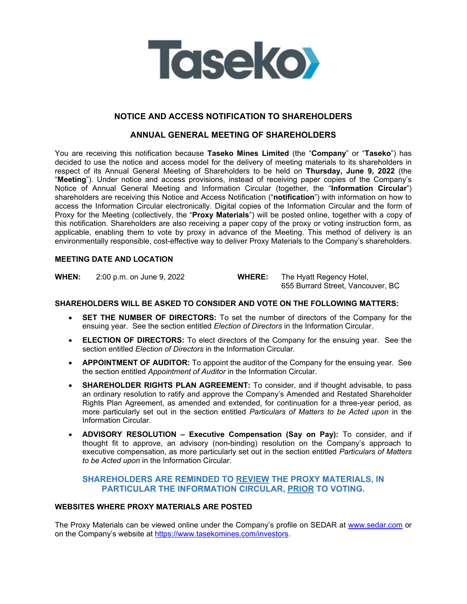

# **NOTICE AND ACCESS NOTIFICATION TO SHAREHOLDERS**

# **ANNUAL GENERAL MEETING OF SHAREHOLDERS**

You are receiving this notification because **Taseko Mines Limited** (the "**Company**" or "**Taseko**") has decided to use the notice and access model for the delivery of meeting materials to its shareholders in respect of its Annual General Meeting of Shareholders to be held on **Thursday, June 9, 2022** (the "**Meeting**"). Under notice and access provisions, instead of receiving paper copies of the Company's Notice of Annual General Meeting and Information Circular (together, the "**Information Circular**") shareholders are receiving this Notice and Access Notification ("**notification**") with information on how to access the Information Circular electronically. Digital copies of the Information Circular and the form of Proxy for the Meeting (collectively, the "**Proxy Materials**") will be posted online, together with a copy of this notification. Shareholders are also receiving a paper copy of the proxy or voting instruction form, as applicable, enabling them to vote by proxy in advance of the Meeting. This method of delivery is an environmentally responsible, cost-effective way to deliver Proxy Materials to the Company's shareholders.

#### **MEETING DATE AND LOCATION**

**WHEN:** 2:00 p.m. on June 9, 2022 **WHERE:** The Hyatt Regency Hotel,

655 Burrard Street, Vancouver, BC

#### **SHAREHOLDERS WILL BE ASKED TO CONSIDER AND VOTE ON THE FOLLOWING MATTERS:**

- **SET THE NUMBER OF DIRECTORS:** To set the number of directors of the Company for the ensuing year. See the section entitled *Election of Directors* in the Information Circular.
- **ELECTION OF DIRECTORS:** To elect directors of the Company for the ensuing year. See the section entitled *Election of Directors* in the Information Circular.
- **APPOINTMENT OF AUDITOR:** To appoint the auditor of the Company for the ensuing year. See the section entitled *Appointment of Auditor* in the Information Circular.
- **SHAREHOLDER RIGHTS PLAN AGREEMENT:** To consider, and if thought advisable, to pass an ordinary resolution to ratify and approve the Company's Amended and Restated Shareholder Rights Plan Agreement, as amended and extended, for continuation for a three-year period, as more particularly set out in the section entitled *Particulars of Matters to be Acted upon* in the Information Circular.
- **ADVISORY RESOLUTION Executive Compensation (Say on Pay):** To consider, and if thought fit to approve, an advisory (non-binding) resolution on the Company's approach to executive compensation, as more particularly set out in the section entitled *Particulars of Matters to be Acted upon* in the Information Circular.

# **SHAREHOLDERS ARE REMINDED TO REVIEW THE PROXY MATERIALS, IN PARTICULAR THE INFORMATION CIRCULAR, PRIOR TO VOTING.**

### **WEBSITES WHERE PROXY MATERIALS ARE POSTED**

The Proxy Materials can be viewed online under the Company's profile on SEDAR at www.sedar.com or on the Company's website at https://www.tasekomines.com/investors.